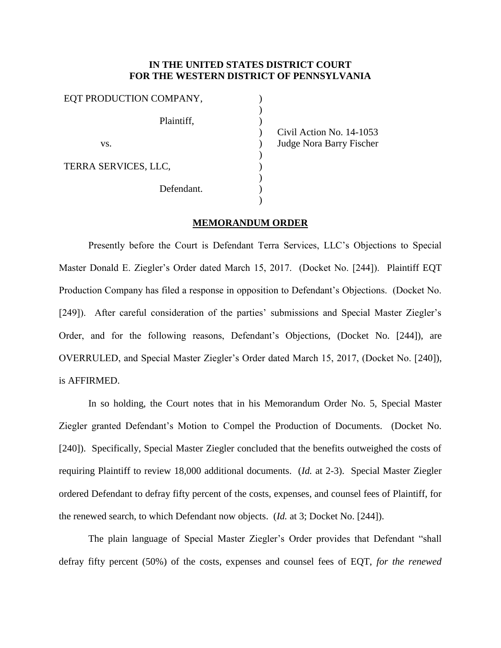## **IN THE UNITED STATES DISTRICT COURT FOR THE WESTERN DISTRICT OF PENNSYLVANIA**

| EQT PRODUCTION COMPANY, |      |
|-------------------------|------|
|                         |      |
| Plaintiff,              | Civi |
| VS.                     | Judg |
|                         |      |
| TERRA SERVICES, LLC,    |      |
| Defendant.              |      |
|                         |      |

1 Action No. 14-1053 ge Nora Barry Fischer

## **MEMORANDUM ORDER**

Presently before the Court is Defendant Terra Services, LLC's Objections to Special Master Donald E. Ziegler's Order dated March 15, 2017. (Docket No. [244]). Plaintiff EQT Production Company has filed a response in opposition to Defendant's Objections. (Docket No. [249]). After careful consideration of the parties' submissions and Special Master Ziegler's Order, and for the following reasons, Defendant's Objections, (Docket No. [244]), are OVERRULED, and Special Master Ziegler's Order dated March 15, 2017, (Docket No. [240]), is AFFIRMED.

In so holding, the Court notes that in his Memorandum Order No. 5, Special Master Ziegler granted Defendant's Motion to Compel the Production of Documents. (Docket No. [240]). Specifically, Special Master Ziegler concluded that the benefits outweighed the costs of requiring Plaintiff to review 18,000 additional documents. (*Id.* at 2-3). Special Master Ziegler ordered Defendant to defray fifty percent of the costs, expenses, and counsel fees of Plaintiff, for the renewed search, to which Defendant now objects. (*Id.* at 3; Docket No. [244]).

The plain language of Special Master Ziegler's Order provides that Defendant "shall defray fifty percent (50%) of the costs, expenses and counsel fees of EQT, *for the renewed*